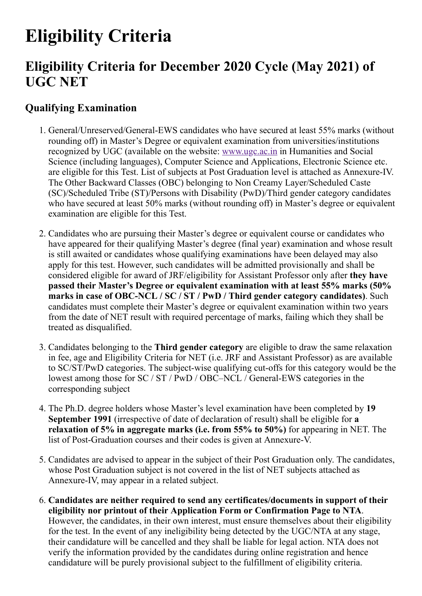# **Eligibility Criteria**

# **Eligibility Criteria for December 2020 Cycle (May 2021) of UGC NET**

## **Qualifying Examination**

- 1. General/Unreserved/General-EWS candidates who have secured at least 55% marks (without rounding off) in Master's Degree or equivalent examination from universities/institutions recognized by UGC (available on the website: [www.ugc.ac.in](http://www.ugc.ac.in/) in Humanities and Social Science (including languages), Computer Science and Applications, Electronic Science etc. are eligible for this Test. List of subjects at Post Graduation level is attached as Annexure-IV. The Other Backward Classes (OBC) belonging to Non Creamy Layer/Scheduled Caste (SC)/Scheduled Tribe (ST)/Persons with Disability (PwD)/Third gender category candidates who have secured at least 50% marks (without rounding off) in Master's degree or equivalent examination are eligible for this Test.
- 2. Candidates who are pursuing their Master's degree or equivalent course or candidates who have appeared for their qualifying Master's degree (final year) examination and whose result is still awaited or candidates whose qualifying examinations have been delayed may also apply for this test. However, such candidates will be admitted provisionally and shall be considered eligible for award of JRF/eligibility for Assistant Professor only after **they have passed their Master's Degree or equivalent examination with at least 55% marks (50% marks in case of OBC-NCL / SC / ST / PwD / Third gender category candidates)**. Such candidates must complete their Master's degree or equivalent examination within two years from the date of NET result with required percentage of marks, failing which they shall be treated as disqualified.
- 3. Candidates belonging to the **Third gender category** are eligible to draw the same relaxation in fee, age and Eligibility Criteria for NET (i.e. JRF and Assistant Professor) as are available to SC/ST/PwD categories. The subject-wise qualifying cut-offs for this category would be the lowest among those for SC / ST / PwD / OBC–NCL / General-EWS categories in the corresponding subject
- 4. The Ph.D. degree holders whose Master's level examination have been completed by **19 September 1991** (irrespective of date of declaration of result) shall be eligible for **a relaxation of 5% in aggregate marks (i.e. from 55% to 50%)** for appearing in NET. The list of Post-Graduation courses and their codes is given at Annexure-V.
- 5. Candidates are advised to appear in the subject of their Post Graduation only. The candidates, whose Post Graduation subject is not covered in the list of NET subjects attached as Annexure-IV, may appear in a related subject.
- 6. **Candidates are neither required to send any certificates/documents in support of their eligibility nor printout of their Application Form or Confirmation Page to NTA**. However, the candidates, in their own interest, must ensure themselves about their eligibility for the test. In the event of any ineligibility being detected by the UGC/NTA at any stage, their candidature will be cancelled and they shall be liable for legal action. NTA does not verify the information provided by the candidates during online registration and hence candidature will be purely provisional subject to the fulfillment of eligibility criteria.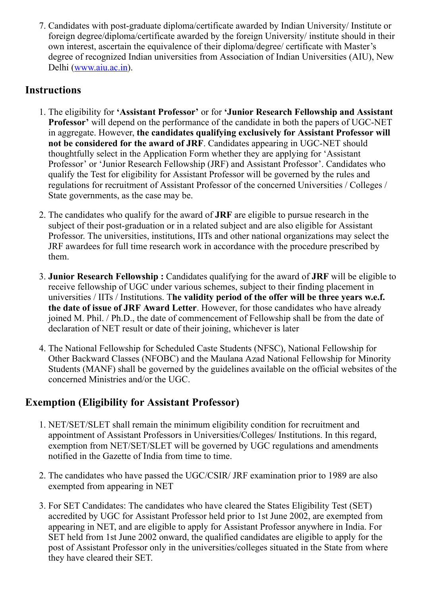7. Candidates with post-graduate diploma/certificate awarded by Indian University/ Institute or foreign degree/diploma/certificate awarded by the foreign University/ institute should in their own interest, ascertain the equivalence of their diploma/degree/ certificate with Master's degree of recognized Indian universities from Association of Indian Universities (AIU), New Delhi ([www.aiu.ac.in](http://www.aiu.ac.in/)).

#### **Instructions**

- 1. The eligibility for **'Assistant Professor'** or for **'Junior Research Fellowship and Assistant Professor'** will depend on the performance of the candidate in both the papers of UGC-NET in aggregate. However, **the candidates qualifying exclusively for Assistant Professor will not be considered for the award of JRF**. Candidates appearing in UGC-NET should thoughtfully select in the Application Form whether they are applying for 'Assistant Professor' or 'Junior Research Fellowship (JRF) and Assistant Professor'. Candidates who qualify the Test for eligibility for Assistant Professor will be governed by the rules and regulations for recruitment of Assistant Professor of the concerned Universities / Colleges / State governments, as the case may be.
- 2. The candidates who qualify for the award of **JRF** are eligible to pursue research in the subject of their post-graduation or in a related subject and are also eligible for Assistant Professor. The universities, institutions, IITs and other national organizations may select the JRF awardees for full time research work in accordance with the procedure prescribed by them.
- 3. **Junior Research Fellowship :** Candidates qualifying for the award of **JRF** will be eligible to receive fellowship of UGC under various schemes, subject to their finding placement in universities / IITs / Institutions. T**he validity period of the offer will be three years w.e.f. the date of issue of JRF Award Letter**. However, for those candidates who have already joined M. Phil. / Ph.D., the date of commencement of Fellowship shall be from the date of declaration of NET result or date of their joining, whichever is later
- 4. The National Fellowship for Scheduled Caste Students (NFSC), National Fellowship for Other Backward Classes (NFOBC) and the Maulana Azad National Fellowship for Minority Students (MANF) shall be governed by the guidelines available on the official websites of the concerned Ministries and/or the UGC.

### **Exemption (Eligibility for Assistant Professor)**

- 1. NET/SET/SLET shall remain the minimum eligibility condition for recruitment and appointment of Assistant Professors in Universities/Colleges/ Institutions. In this regard, exemption from NET/SET/SLET will be governed by UGC regulations and amendments notified in the Gazette of India from time to time.
- 2. The candidates who have passed the UGC/CSIR/ JRF examination prior to 1989 are also exempted from appearing in NET
- 3. For SET Candidates: The candidates who have cleared the States Eligibility Test (SET) accredited by UGC for Assistant Professor held prior to 1st June 2002, are exempted from appearing in NET, and are eligible to apply for Assistant Professor anywhere in India. For SET held from 1st June 2002 onward, the qualified candidates are eligible to apply for the post of Assistant Professor only in the universities/colleges situated in the State from where they have cleared their SET.